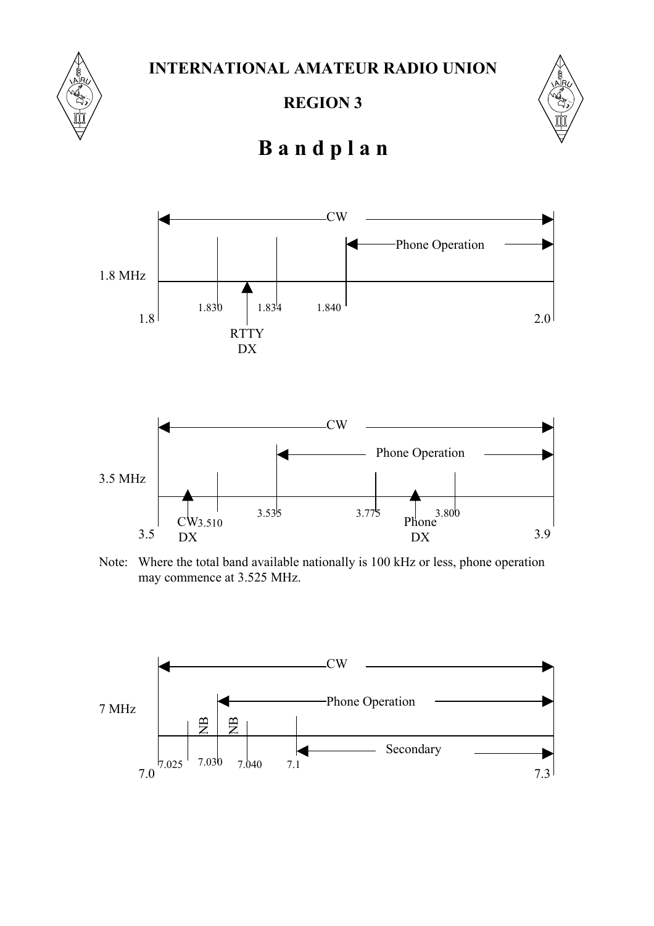**INTERNATIONAL AMATEUR RADIO UNION**



**REGION 3**



## **B a n d p l a n**





Note: Where the total band available nationally is 100 kHz or less, phone operation may commence at 3.525 MHz.

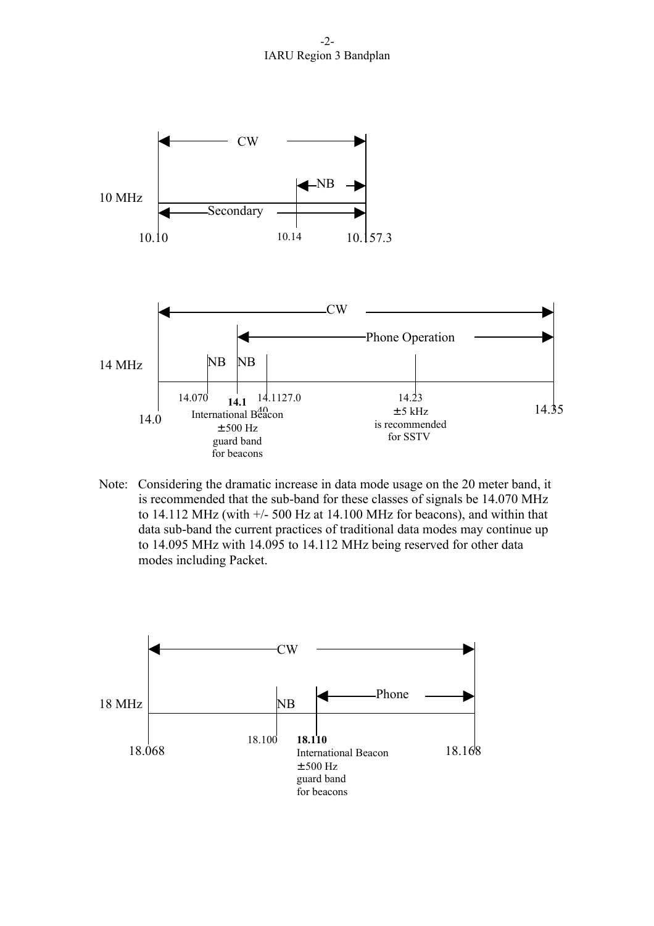-2- IARU Region 3 Bandplan



Note: Considering the dramatic increase in data mode usage on the 20 meter band, it is recommended that the sub-band for these classes of signals be 14.070 MHz to 14.112 MHz (with  $+/-$  500 Hz at 14.100 MHz for beacons), and within that data sub-band the current practices of traditional data modes may continue up to 14.095 MHz with 14.095 to 14.112 MHz being reserved for other data modes including Packet.

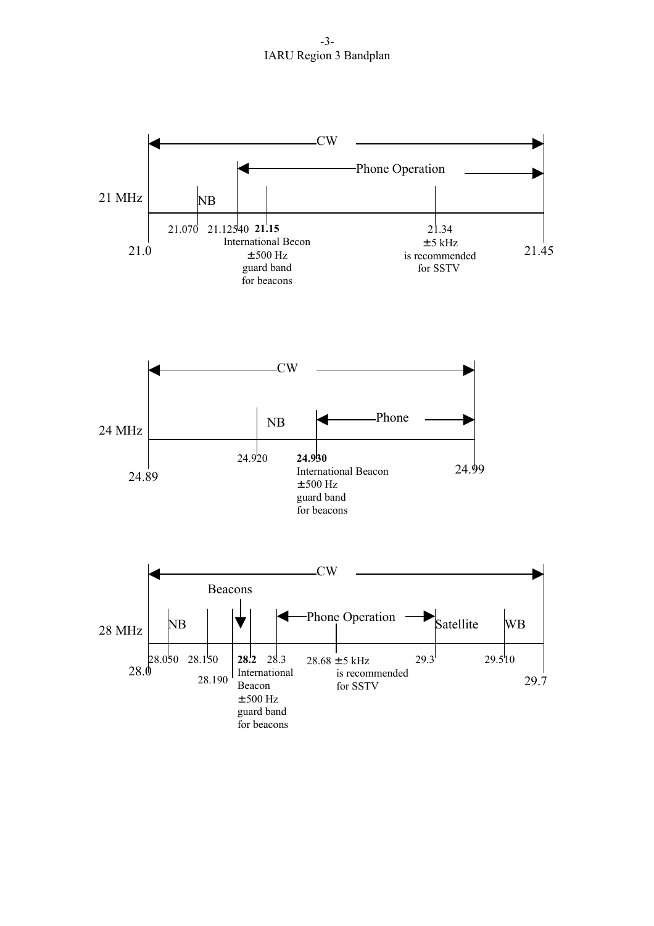-3- IARU Region 3 Bandplan

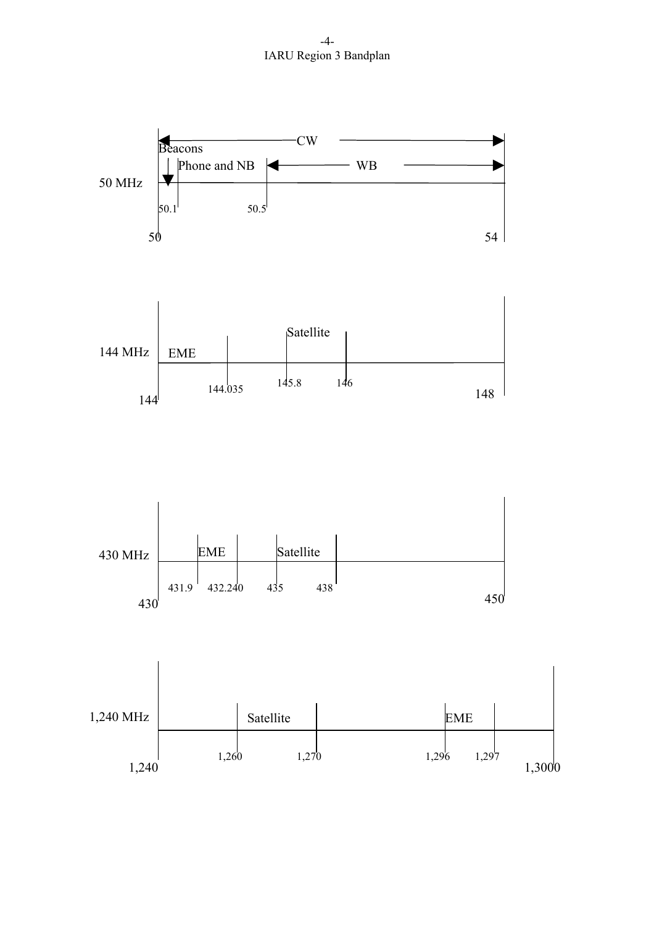-4- IARU Region 3 Bandplan